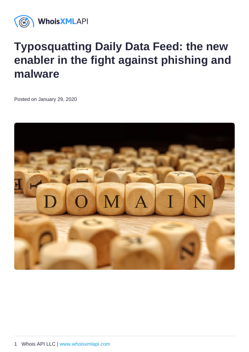## Typosquatting Daily Data Feed: the new enabler in the fight against phishing and malware

Posted on January 29, 2020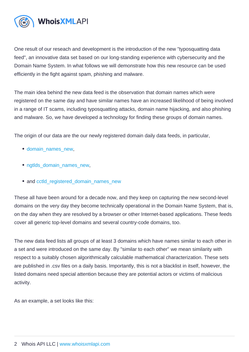One result of our reseach and development is the introduction of the new "typosquatting data feed", an innovative data set based on our long-standing experience with cybersecurity and the Domain Name System. In what follows we will demonstrate how this new resource can be used efficiently in the fight against spam, phishing and malware.

The main idea behind the new data feed is the observation that domain names which were registered on the same day and have similar names have an increased likelihood of being involved in a range of IT scams, including typosquatting attacks, domain name hijacking, and also phishing and malware. So, we have developed a technology for finding these groups of domain names.

The origin of our data are the our newly registered domain daily data feeds, in particular,

- domain\_names\_new.
- ngtlds domain names new,
- and [cctld\\_registered\\_domain\\_names\\_new](http://www.domainwhoisdatabase.com/docs/Daily_CCTLD_WHOIS_Updates_Reference_Manual/README_02_document.html#sec15)

These all have been around for a decade now, and they keep on capturing the new second-level domains on the very day they become technically operational in the Domain Name System, that is, on the day when they are resolved by a browser or other Internet-based applications. These feeds cover all generic top-level domains and several country-code domains, too.

The new data feed lists all groups of at least 3 domains which have names similar to each other in a set and were introduced on the same day. By "similar to each other" we mean similarity with respect to a suitably chosen algorithmically calculable mathematical characterization. These sets are published in .csv files on a daily basis. Importantly, this is not a blacklist in itself, however, the listed domains need special attention because they are potential actors or victims of malicious activity.

As an example, a set looks like this: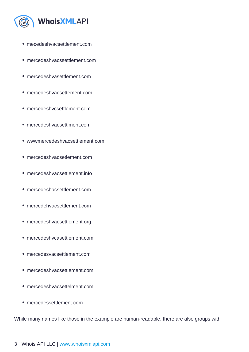- mecedeshvacsettlement.com
- mercedeshvacssettlement.com
- mercedeshvasettlement.com
- mercedeshvacsettement.com
- mercedeshvcsettlement.com
- mercedeshvacsettlment.com
- wwwmercedeshvacsettlement.com
- mercedeshvacsetlement.com
- mercedeshvacsettlement.info
- mercedeshacsettlement.com
- mercedehvacsettlement.com
- mercedeshvacsettlement.org
- mercedeshvcasettlement.com
- mercedesvacsettlement.com
- mercedeshvacsettlement.com
- mercedeshvacsettelment.com
- mercedessettlement.com

While many names like those in the example are human-readable, there are also groups with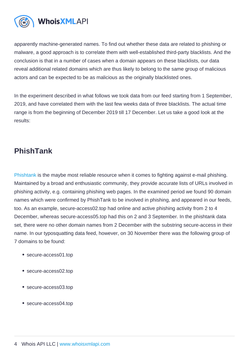apparently machine-generated names. To find out whether these data are related to phishing or malware, a good approach is to correlate them with well-established third-party blacklists. And the conclusion is that in a number of cases when a domain appears on these blacklists, our data reveal additional related domains which are thus likely to belong to the same group of malicious actors and can be expected to be as malicious as the originally blacklisted ones.

In the experiment described in what follows we took data from our feed starting from 1 September, 2019, and have correlated them with the last few weeks data of three blacklists. The actual time range is from the beginning of December 2019 till 17 December. Let us take a good look at the results:

## PhishTank

[Phishtank](https://www.phishtank.com/) is the maybe most reliable resource when it comes to fighting against e-mail phishing. Maintained by a broad and enthusiastic community, they provide accurate lists of URLs involved in phishing activity, e.g. containing phishing web pages. In the examined period we found 90 domain names which were confirmed by PhishTank to be involved in phishing, and appeared in our feeds, too. As an example, secure-access02.top had online and active phishing activity from 2 to 4 December, whereas secure-access05.top had this on 2 and 3 September. In the phishtank data set, there were no other domain names from 2 December with the substring secure-access in their name. In our typosquatting data feed, however, on 30 November there was the following group of 7 domains to be found:

- secure-access01.top
- secure-access02.top
- secure-access03.top
- secure-access04.top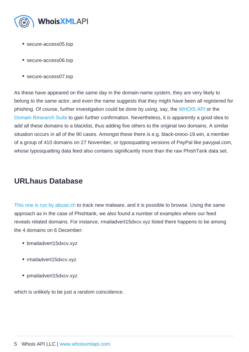- secure-access05.top
- secure-access06.top
- secure-access07.top

As these have appeared on the same day in the domain-name system, they are very likely to belong to the same actor, and even the name suggests that they might have been all registered for phishing. Of course, further investigation could be done by using, say, the [WHOIS API](https://whois.whoisxmlapi.com/) or the [Domain Research Suite](https://drs.whoisxmlapi.com/) to gain further confirmation. Nevertheless, it is apparently a good idea to add all these domains to a blacklist, thus adding five others to the original two domains. A similar situation occurs in all of the 90 cases. Amongst these there is e.g. black-oreoo-19.win, a member of a group of 410 domains on 27 November, or typosquatting versions of PayPal like pavypal.com, whose typosquatting data feed also contains significantly more than the raw PhishTank data set.

## URLhaus Database

[This one is run by abuse.ch](https://urlhaus.abuse.ch/) to track new malware, and it is possible to browse. Using the same approach as in the case of Phishtank, we also found a number of examples where our feed reveals related domains. For instance, rmailadvert15dxcv.xyz listed there happens to be among the 4 domains on 6 December:

- bmailadvert15dxcv.xyz
- rmailadvert15dxcv.xyz
- pmailadvert15dxcv.xyz

which is unlikely to be just a random coincidence.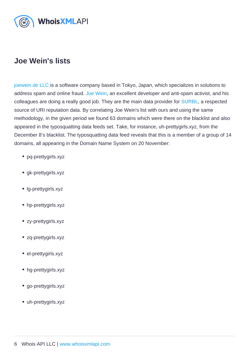## Joe Wein's lists

[joewein.de LLC](https://joewein.net/) is a software company based in Tokyo, Japan, which specializes in solutions to address spam and online fraud. [Joe Wein](https://jwde.jp/), an excellent developer and anti-spam activist, and his colleagues are doing a really good job. They are the main data provider for [SURBL,](http://www.surbl.org/) a respected source of URI reputation data. By correlating Joe Wein's list with ours and using the same methodology, in the given period we found 63 domains which were there on the blacklist and also appeared in the typosquatting data feeds set. Take, for instance, uh-prettygirls.xyz, from the December 8's blacklist. The typosquatting data feed reveals that this is a member of a group of 14 domains, all appearing in the Domain Name System on 20 November:

- pq-prettygirls.xyz
- gk-prettygirls.xyz
- Ig-prettygirls.xyz
- hp-prettygirls.xyz
- zy-prettygirls.xyz
- zq-prettygirls.xyz
- el-prettygirls.xyz
- hg-prettygirls.xyz
- go-prettygirls.xyz
- uh-prettygirls.xyz